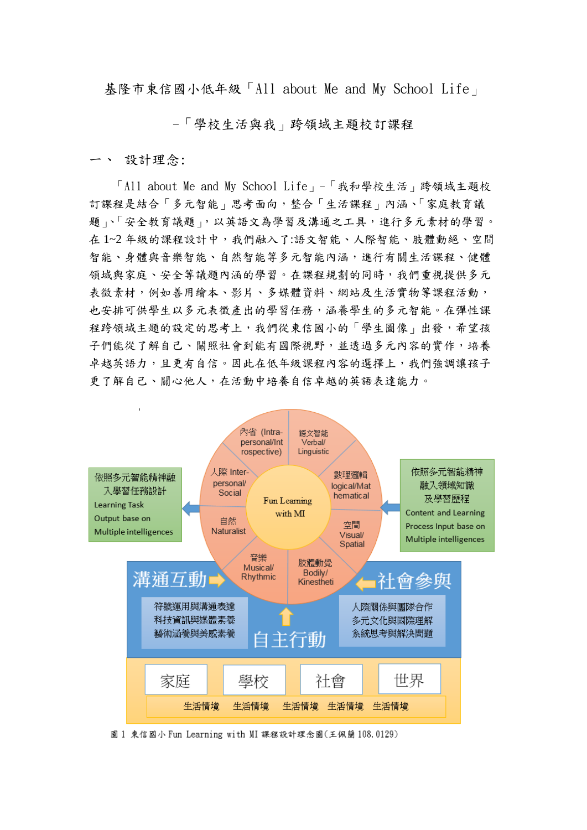基隆市東信國小低年級「All about Me and My School Life」

-「學校生活與我」跨領域主題校訂課程

一、 設計理念:

 「All about Me and My School Life」-「我和學校生活」跨領域主題校 訂課程是結合「多元智能」思考面向,整合「生活課程」內涵、「家庭教育議 題」、「安全教育議題」,以英語文為學習及溝通之工具,進行多元素材的學習。 在1~2年級的課程設計中,我們融入了:語文智能、人際智能、肢體動絕、空間 智能、身體與音樂智能、自然智能等多元智能內涵,進行有關生活課程、健體 領域與家庭、安全等議題內涵的學習。在課程規劃的同時,我們重視提供多元 表徵素材,例如善用繪本、影片、多媒體資料、網站及生活實物等課程活動, 也安排可供學生以多元表徵產出的學習任務,涵養學生的多元智能。在彈性課 程跨領域主題的設定的思考上,我們從東信國小的「學生圖像」出發,希望孩 子們能從了解自己、關照社會到能有國際視野,並透過多元內容的實作,培養 卓越英語力,且更有自信。因此在低年級課程內容的選擇上,我們強調讓孩子 更了解自己、關心他人,在活動中培養自信卓越的英語表達能力。



圖 1 東信國小 Fun Learning with MI 課程設計理念圖(王佩蘭 108.0129)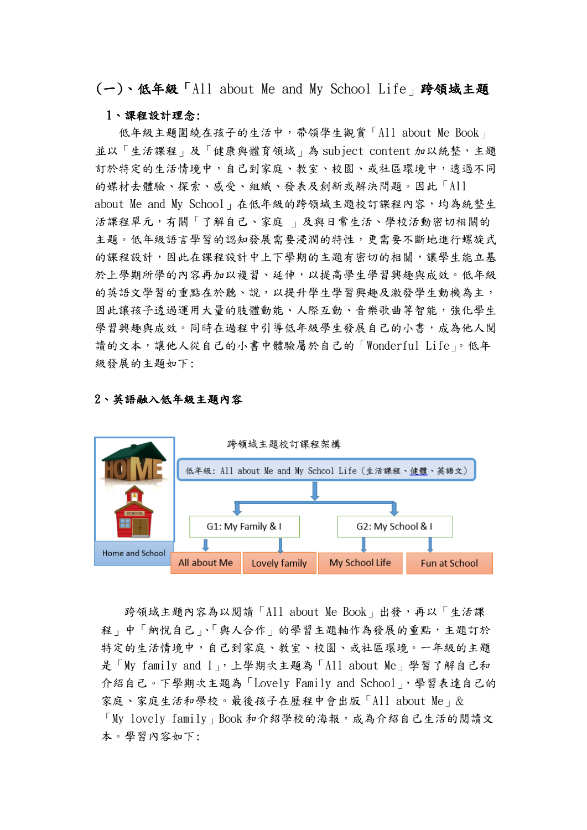(一)、低年級「All about Me and My School Life」跨領域主題

#### 1、課程設計理念:

低年級主題圍繞在孩子的生活中,帶領學生觀賞「All about Me Book」 並以「生活課程」及「健康與體育領域」為 subject content 加以統整,主題 訂於特定的生活情境中,自己到家庭、教室、校園、或社區環境中,透過不同 的媒材去體驗、探索、感受、組織、發表及創新或解決問題。因此「All about Me and My School」在低年級的跨領域主題校訂課程內容,均為統整生 活課程單元,有關「了解自己、家庭 」及與日常生活、學校活動密切相關的 主題。低年級語言學習的認知發展需要浸潤的特性,更需要不斷地進行螺旋式 的課程設計,因此在課程設計中上下學期的主題有密切的相關,讓學生能立基 於上學期所學的內容再加以複習、延伸,以提高學生學習興趣與成效。低年級 的英語文學習的重點在於聽、說,以提升學生學習興趣及激發學生動機為主, 因此讓孩子透過運用大量的肢體動能、人際互動、音樂歌曲等智能,強化學生 學習興趣與成效。同時在過程中引導低年級學生發展自己的小書,成為他人閱 讀的文本,讓他人從自己的小書中體驗屬於自己的「Wonderful Life」。低年 級發展的主題如下:

#### 2、英語融入低年級主題內容



 跨領域主題內容為以閱讀「All about Me Book」出發,再以「生活課 程」中「納悅自己」、「與人合作」的學習主題軸作為發展的重點,主題訂於 特定的生活情境中,自己到家庭、教室、校園、或社區環境。一年級的主題 是「My family and I」,上學期次主題為「All about Me」學習了解自己和 介紹自己。下學期次主題為「Lovely Family and School」,學習表達自己的 家庭、家庭生活和學校。最後孩子在歷程中會出版「All about Me」& 「My lovely family」Book 和介紹學校的海報,成為介紹自己生活的閱讀文 本。學習內容如下: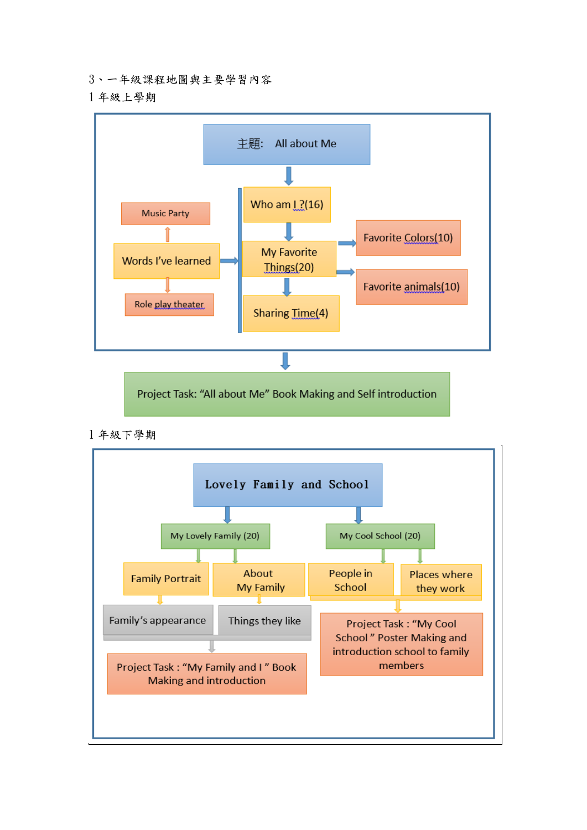- 、一年級課程地圖與主要學習內容
- 年級上學期



Project Task: "All about Me" Book Making and Self introduction

年級下學期

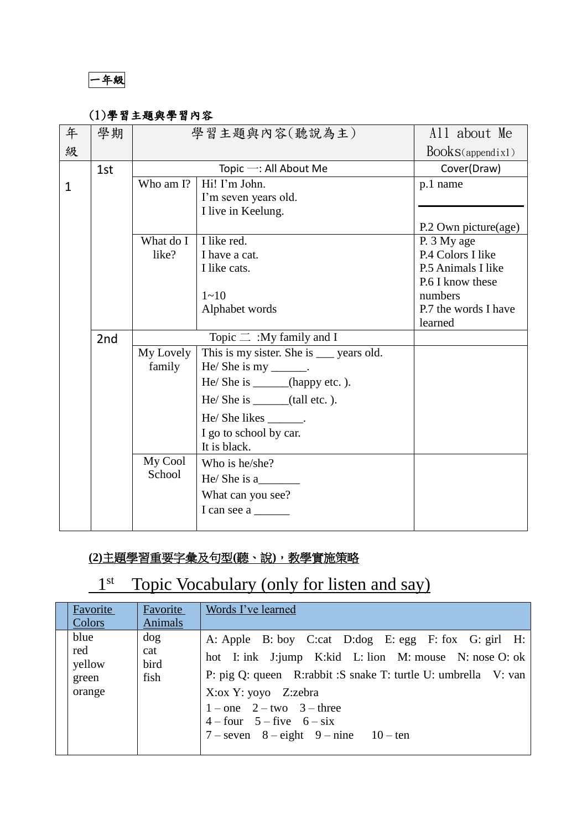一年級

## (1)學習主題與學習內容

| 年            | 學期  |             | 學習主題與內容(聽說為主)                            | All about Me         |
|--------------|-----|-------------|------------------------------------------|----------------------|
| 級            |     |             |                                          | Books(appendix1)     |
|              | 1st |             | Topic $-$ : All About Me                 | Cover(Draw)          |
| $\mathbf{1}$ |     | Who am I?   | Hi! I'm John.                            | p.1 name             |
|              |     |             | I'm seven years old.                     |                      |
|              |     |             | I live in Keelung.                       |                      |
|              |     |             |                                          | P.2 Own picture(age) |
|              |     | What do $I$ | I like red.                              | P. 3 My age          |
|              |     | like?       | I have a cat.                            | P.4 Colors I like    |
|              |     |             | I like cats.                             | P.5 Animals I like   |
|              |     |             |                                          | P.6 I know these     |
|              |     |             | $1 - 10$                                 | numbers              |
|              |     |             | Alphabet words                           | P.7 the words I have |
|              |     |             |                                          | learned              |
|              | 2nd |             | Topic $\equiv$ :My family and I          |                      |
|              |     | My Lovely   | This is my sister. She is ___ years old. |                      |
|              |     | family      | $He/ She$ is my ______.                  |                      |
|              |     |             | He/ She is _______(happy etc.).          |                      |
|              |     |             | $He/ She$ is ______(tall etc.).          |                      |
|              |     |             | He/She likes ________.                   |                      |
|              |     |             | I go to school by car.                   |                      |
|              |     |             | It is black.                             |                      |
|              |     | My Cool     | Who is he/she?                           |                      |
|              |     | School      | He/She is a                              |                      |
|              |     |             | What can you see?                        |                      |
|              |     |             | I can see a                              |                      |
|              |     |             |                                          |                      |

# **(2)**主題學習重要字彙及句型**(**聽、說**)**,教學實施策略

# 1<sup>st</sup> Topic Vocabulary (only for listen and say)

| Favorite<br>Colors                       | Favorite<br>Animals        | Words I've learned                                                                                                                                                                                                                                                                                                          |
|------------------------------------------|----------------------------|-----------------------------------------------------------------------------------------------------------------------------------------------------------------------------------------------------------------------------------------------------------------------------------------------------------------------------|
| blue<br>red<br>yellow<br>green<br>orange | dog<br>cat<br>bird<br>fish | A: Apple B: boy C:cat D: dog E: egg F: fox G: girl H:<br>hot I: ink J:jump K: kid L: lion M: mouse N: nose O: ok<br>P: pig Q: queen R:rabbit :S snake T: turtle U: umbrella V: van<br>X: ox Y: yoyo Z: zebra<br>$1$ – one 2 – two 3 – three<br>$4 - four$ 5 - five 6 - six<br>$7$ – seven $8$ – eight $9$ – nine $10$ – ten |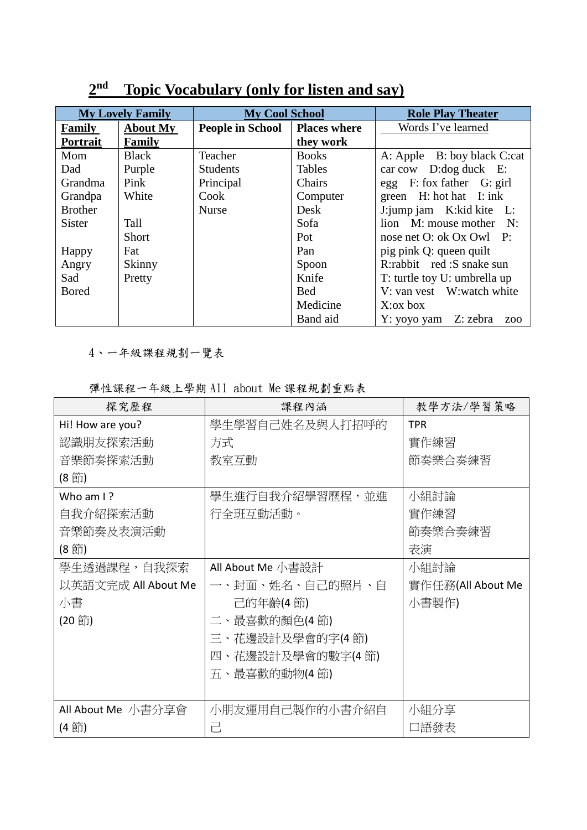| <b>My Lovely Family</b> |                 | <b>My Cool School</b>   |                     | <b>Role Play Theater</b>                |
|-------------------------|-----------------|-------------------------|---------------------|-----------------------------------------|
| Family                  | <b>About My</b> | <b>People in School</b> | <b>Places where</b> | Words I've learned                      |
| Portrait                | Family          |                         | they work           |                                         |
| Mom                     | <b>Black</b>    | Teacher                 | <b>Books</b>        | A: Apple B: boy black C:cat             |
| Dad                     | Purple          | <b>Students</b>         | <b>Tables</b>       | car cow D:dog duck E:                   |
| Grandma                 | Pink            | Principal               | Chairs              | egg F: fox father G: girl               |
| Grandpa                 | White           | Cook                    | Computer            | green $H:$ hot hat $I:$ ink             |
| <b>Brother</b>          |                 | <b>Nurse</b>            | Desk                | J:jump jam K:kid kite L:                |
| <b>Sister</b>           | Tall            |                         | Sofa                | lion M: mouse mother N:                 |
|                         | <b>Short</b>    |                         | Pot                 | nose net O: ok Ox Owl P:                |
| Happy                   | Fat             |                         | Pan                 | pig pink Q: queen quilt                 |
| Angry                   | Skinny          |                         | Spoon               | R:rabbit red: S snake sun               |
| Sad                     | Pretty          |                         | Knife               | T: turtle toy U: umbrella up            |
| <b>Bored</b>            |                 |                         | <b>Bed</b>          | V: van vest W: watch white              |
|                         |                 |                         | Medicine            | $X:\alpha x$ box                        |
|                         |                 |                         | Band aid            | Y: yoyo yam Z: zebra<br>Z <sub>00</sub> |

# **2 nd Topic Vocabulary (only for listen and say)**

4、一年級課程規劃一覽表

彈性課程一年級上學期 All about Me 課程規劃重點表

| 探究歷程                 | 課程內涵              | 教學方法/學習策略         |
|----------------------|-------------------|-------------------|
| Hi! How are you?     | 學生學習自己姓名及與人打招呼的   | <b>TPR</b>        |
| 認識朋友探索活動             | 方式                | 實作練習              |
| 音樂節奏探索活動             | 教室互動              | 節奏樂合奏練習           |
| (8節)                 |                   |                   |
| Who am $\frac{1}{2}$ | 學生進行自我介紹學習歷程,並進   | 小組討論              |
| 自我介紹探索活動             | 行全班互動活動。          | 實作練習              |
| 音樂節奏及表演活動            |                   | 節奏樂合奏練習           |
| (8 節)                |                   | 表演                |
| 學生透過課程,自我探索          | All About Me 小書設計 | 小組討論              |
| 以英語文完成 All About Me  | 一、封面、姓名、自己的照片、自   | 實作任務(All About Me |
| 小書                   | 己的年齡(4節)          | 小書製作)             |
| (20 節)               | 二、最喜歡的顏色(4節)      |                   |
|                      | 三、花邊設計及學會的字(4節)   |                   |
|                      | 四、花邊設計及學會的數字(4節)  |                   |
|                      | 五、最喜歡的動物(4節)      |                   |
|                      |                   |                   |
| All About Me 小書分享會   | 小朋友運用自己製作的小書介紹自   | 小組分享              |
| (4 節)                | 己                 | 口語發表              |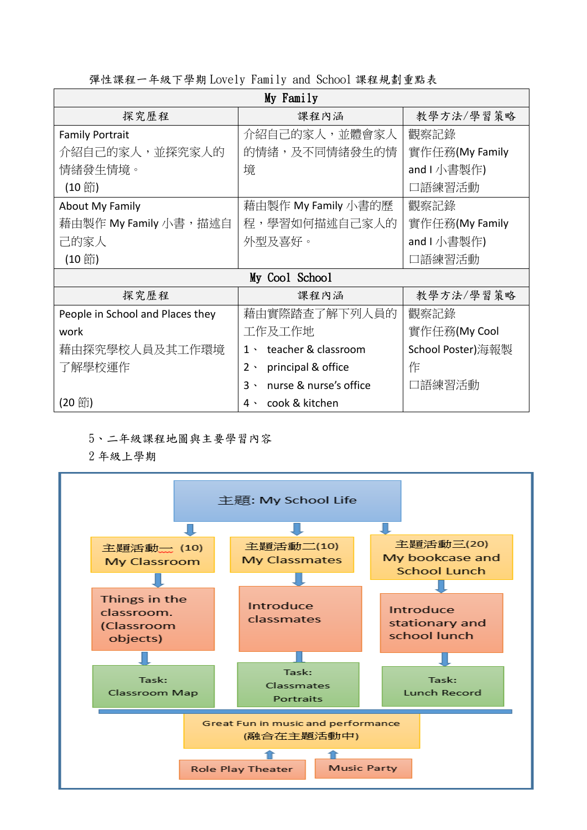| My Family                        |                                     |                   |  |  |  |
|----------------------------------|-------------------------------------|-------------------|--|--|--|
| 探究歷程                             | 課程內涵                                | 教學方法/學習策略         |  |  |  |
| <b>Family Portrait</b>           | 介紹自己的家人,並體會家人                       | 觀察記錄              |  |  |  |
| 介紹自己的家人,並探究家人的                   | 的情緒,及不同情緒發生的情                       | 實作任務(My Family    |  |  |  |
| 情緒發生情境。                          | 境                                   | and I 小書製作)       |  |  |  |
| (10節)                            |                                     | 口語練習活動            |  |  |  |
| <b>About My Family</b>           | 藉由製作 My Family 小書的歷                 | 觀察記錄              |  |  |  |
| 藉由製作 My Family 小書,描述自            | 程,學習如何描述自己家人的                       | 實作任務(My Family    |  |  |  |
| 己的家人                             | 外型及喜好。                              | and I 小書製作)       |  |  |  |
| (10節)                            |                                     | 口語練習活動            |  |  |  |
| My Cool School                   |                                     |                   |  |  |  |
| 探究歷程                             | 課程內涵                                | 教學方法/學習策略         |  |  |  |
| People in School and Places they | 藉由實際踏查了解下列人員的                       | 觀察記錄              |  |  |  |
| work                             | 工作及工作地                              | 實作任務(My Cool      |  |  |  |
| 藉由探究學校人員及其工作環境                   | teacher & classroom<br>$1 \cdot$    | School Poster)海報製 |  |  |  |
| 了解學校運作                           | principal & office<br>$2 \cdot$     | 作                 |  |  |  |
|                                  | nurse & nurse's office<br>$3 \cdot$ | 口語練習活動            |  |  |  |
| (20 節)                           | cook & kitchen<br>$4 \cdot$         |                   |  |  |  |

彈性課程一年級下學期 Lovely Family and School 課程規劃重點表

### 5、二年級課程地圖與主要學習內容

2 年級上學期

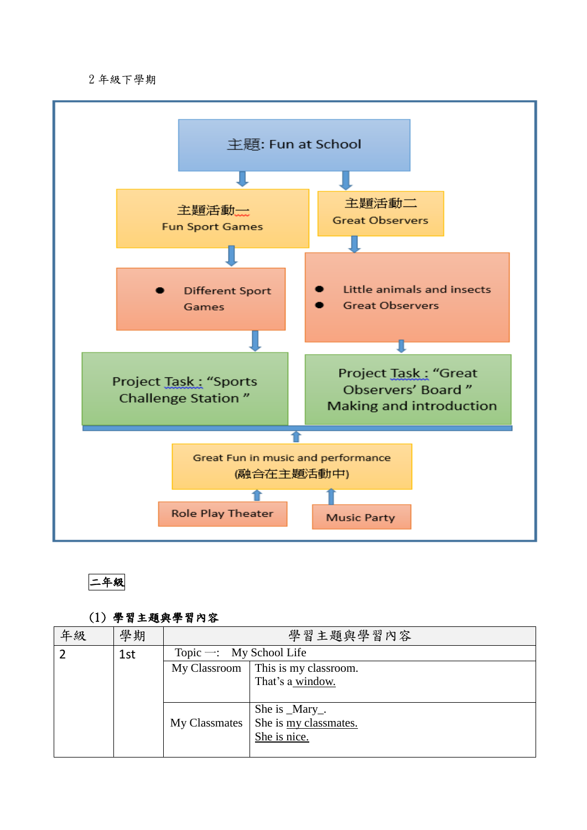#### 2 年級下學期





### (1) 學習主題與學習內容

| 年級 | 學期  | 學習主題與學習內容                             |                               |  |
|----|-----|---------------------------------------|-------------------------------|--|
|    | 1st | Topic $\rightarrow$ : My School Life  |                               |  |
|    |     | This is my classroom.<br>My Classroom |                               |  |
|    |     | That's a window.                      |                               |  |
|    |     |                                       |                               |  |
|    |     | She is _Mary_.                        |                               |  |
|    |     | My Classmates                         | She is <u>my classmates</u> . |  |
|    |     | She is nice.                          |                               |  |
|    |     |                                       |                               |  |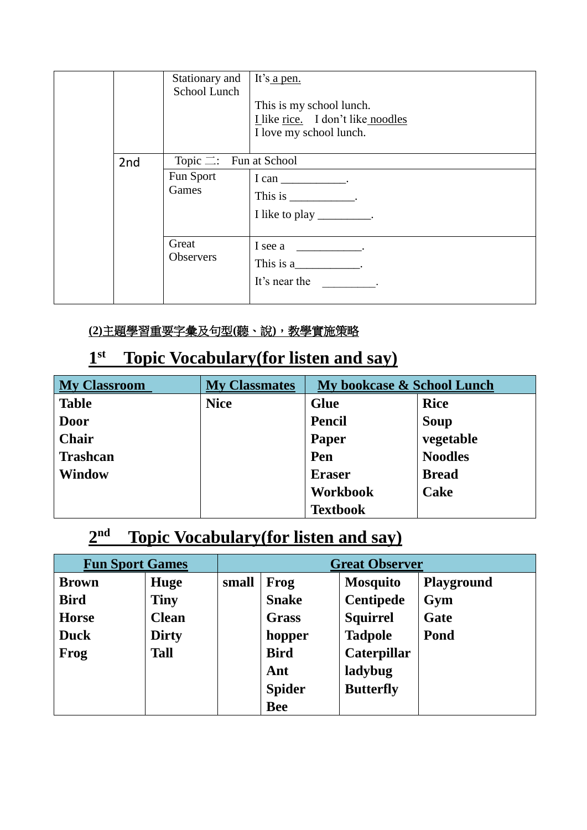|                 | Stationary and<br>School Lunch                       | It's a pen.<br>This is my school lunch.<br>I like rice. I don't like noodles<br>I love my school lunch.                                                                                                                                                                   |
|-----------------|------------------------------------------------------|---------------------------------------------------------------------------------------------------------------------------------------------------------------------------------------------------------------------------------------------------------------------------|
| 2 <sub>nd</sub> | Topic $\equiv$ : Fun at School<br>Fun Sport<br>Games | $I can$ _______________.<br>This is $\frac{1}{\sqrt{1-\frac{1}{2}}}\cdot$<br>I like to play _________.                                                                                                                                                                    |
|                 | Great<br>Observers                                   | I see a _____________.<br>This is $a_$ .<br>It's near the the state of the state of the state of the state of the state of the state of the state of the state of the state of the state of the state of the state of the state of the state of the state of the state of |

# **(2)**主題學習重要字彙及句型**(**聽、說**)**,教學實施策略

#### **1 st Topic Vocabulary(for listen and say)**

| <b>My Classroom</b> | <b>My Classmates</b> | My bookcase & School Lunch |                |
|---------------------|----------------------|----------------------------|----------------|
| <b>Table</b>        | <b>Nice</b>          | <b>Glue</b>                | <b>Rice</b>    |
| <b>Door</b>         |                      | <b>Pencil</b>              | Soup           |
| <b>Chair</b>        |                      | Paper                      | vegetable      |
| <b>Trashcan</b>     |                      | Pen                        | <b>Noodles</b> |
| <b>Window</b>       |                      | <b>Eraser</b>              | <b>Bread</b>   |
|                     |                      | <b>Workbook</b>            | Cake           |
|                     |                      | <b>Textbook</b>            |                |

#### **2 nd Topic Vocabulary(for listen and say)**

| <b>Fun Sport Games</b> |              | <b>Great Observer</b> |               |                  |            |
|------------------------|--------------|-----------------------|---------------|------------------|------------|
| <b>Brown</b>           | Huge         | small                 | <b>Frog</b>   | <b>Mosquito</b>  | Playground |
| <b>Bird</b>            | <b>Tiny</b>  |                       | <b>Snake</b>  | <b>Centipede</b> | Gym        |
| <b>Horse</b>           | <b>Clean</b> |                       | Grass         | <b>Squirrel</b>  | Gate       |
| <b>Duck</b>            | <b>Dirty</b> |                       | hopper        | <b>Tadpole</b>   | Pond       |
| Frog                   | <b>Tall</b>  |                       | <b>Bird</b>   | Caterpillar      |            |
|                        |              |                       | Ant           | ladybug          |            |
|                        |              |                       | <b>Spider</b> | <b>Butterfly</b> |            |
|                        |              |                       | <b>Bee</b>    |                  |            |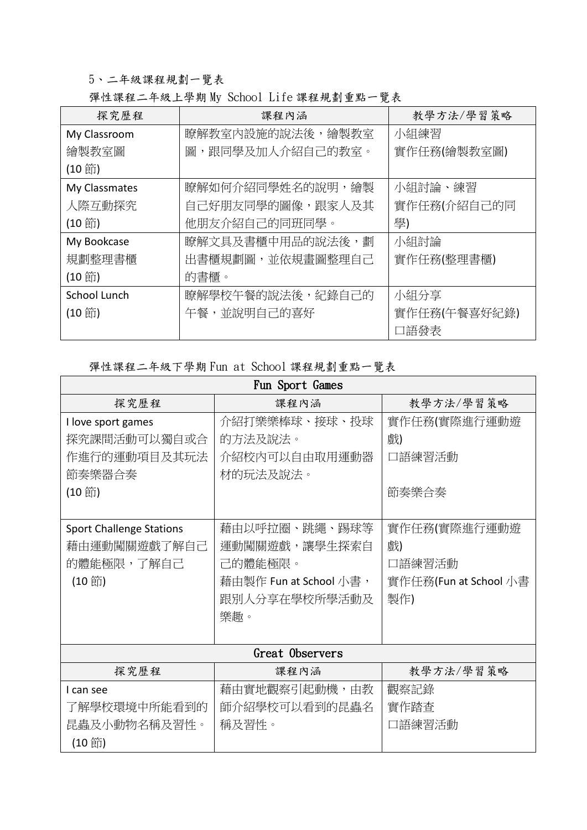### 5、二年級課程規劃一覽表

## 彈性課程二年級上學期 My School Life 課程規劃重點一覽表

| 探究歷程          | 課程內涵             | 教學方法/學習策略    |
|---------------|------------------|--------------|
| My Classroom  | 瞭解教室內設施的說法後,繪製教室 | 小組練習         |
| 繪製教室圖         | 圖,跟同學及加人介紹自己的教室。 | 實作任務(繪製教室圖)  |
| (10節)         |                  |              |
| My Classmates | 瞭解如何介紹同學姓名的說明,繪製 | 小組討論、練習      |
| 人際互動探究        | 自己好朋友同學的圖像,跟家人及其 | 實作任務(介紹自己的同  |
| (10節)         | 他朋友介紹自己的同班同學。    | 學)           |
| My Bookcase   | 瞭解文具及書櫃中用品的說法後,劃 | 小組討論         |
| 規劃整理書櫃        | 出書櫃規劃圖,並依規畫圖整理自己 | 實作任務(整理書櫃)   |
| (10節)         | 的書櫃。             |              |
| School Lunch  | 瞭解學校午餐的說法後,紀錄自己的 | 小組分享         |
| (10節)         | 午餐,並說明自己的喜好      | 實作任務(午餐喜好紀錄) |
|               |                  | 口語發表         |

### 彈性課程二年級下學期 Fun at School 課程規劃重點一覽表

| Fun Sport Games                 |                        |                       |  |  |  |  |
|---------------------------------|------------------------|-----------------------|--|--|--|--|
| 探究歷程                            | 課程內涵                   | 教學方法/學習策略             |  |  |  |  |
| I love sport games              | 介紹打樂樂棒球、接球、投球          | 實作任務(實際進行運動遊          |  |  |  |  |
| 探究課間活動可以獨自或合                    | 的方法及說法。                | 戲)                    |  |  |  |  |
| 作進行的運動項目及其玩法                    | 介紹校內可以自由取用運動器          | 口語練習活動                |  |  |  |  |
| 節奏樂器合奏                          | 材的玩法及說法。               |                       |  |  |  |  |
| (10節)                           |                        | 節奏樂合奏                 |  |  |  |  |
|                                 |                        |                       |  |  |  |  |
| <b>Sport Challenge Stations</b> | 藉由以呼拉圈、跳繩、踢球等          | 實作任務(實際進行運動遊          |  |  |  |  |
| 藉由運動闖關遊戲了解自己                    | 運動闖關遊戲,讓學生探索自          | 戲)                    |  |  |  |  |
| 的體能極限,了解自己                      | 己的體能極限。                | 口語練習活動                |  |  |  |  |
| (10節)                           | 藉由製作 Fun at School 小書, | 實作任務(Fun at School 小書 |  |  |  |  |
|                                 | 跟別人分享在學校所學活動及          | 製作)                   |  |  |  |  |
|                                 | 樂趣。                    |                       |  |  |  |  |
|                                 |                        |                       |  |  |  |  |
|                                 | Great Observers        |                       |  |  |  |  |
| 探究歷程                            | 課程內涵                   | 教學方法/學習策略             |  |  |  |  |
| I can see                       | 藉由實地觀察引起動機,由教          | 觀察記錄                  |  |  |  |  |
| 了解學校環境中所能看到的                    | 師介紹學校可以看到的昆蟲名          | 實作踏查                  |  |  |  |  |
| 昆蟲及小動物名稱及習性。                    | 稱及習性。                  | 口語練習活動                |  |  |  |  |
| (10節)                           |                        |                       |  |  |  |  |